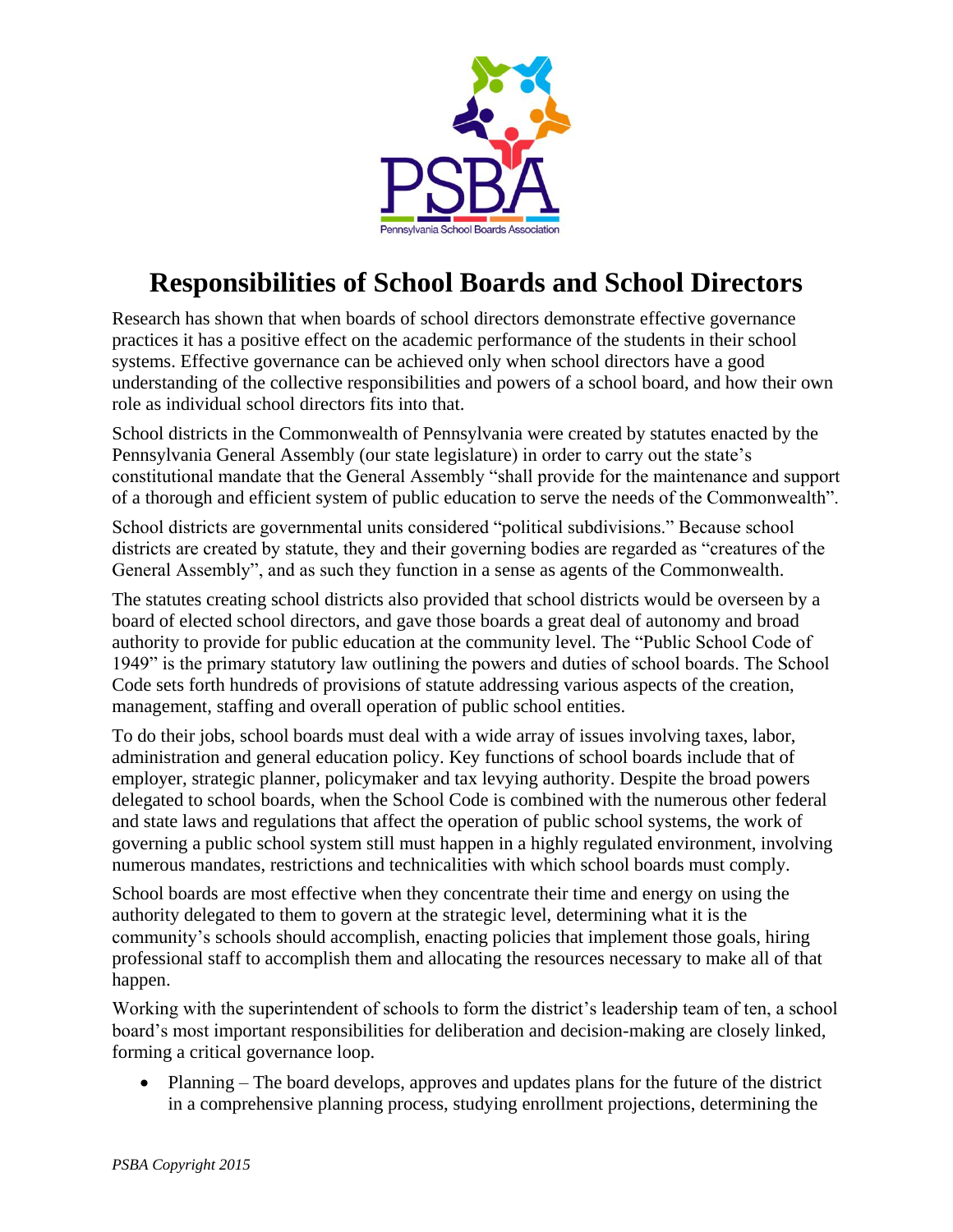

# **Responsibilities of School Boards and School Directors**

Research has shown that when boards of school directors demonstrate effective governance practices it has a positive effect on the academic performance of the students in their school systems. Effective governance can be achieved only when school directors have a good understanding of the collective responsibilities and powers of a school board, and how their own role as individual school directors fits into that.

School districts in the Commonwealth of Pennsylvania were created by statutes enacted by the Pennsylvania General Assembly (our state legislature) in order to carry out the state's constitutional mandate that the General Assembly "shall provide for the maintenance and support of a thorough and efficient system of public education to serve the needs of the Commonwealth".

School districts are governmental units considered "political subdivisions." Because school districts are created by statute, they and their governing bodies are regarded as "creatures of the General Assembly", and as such they function in a sense as agents of the Commonwealth.

The statutes creating school districts also provided that school districts would be overseen by a board of elected school directors, and gave those boards a great deal of autonomy and broad authority to provide for public education at the community level. The "Public School Code of 1949" is the primary statutory law outlining the powers and duties of school boards. The School Code sets forth hundreds of provisions of statute addressing various aspects of the creation, management, staffing and overall operation of public school entities.

To do their jobs, school boards must deal with a wide array of issues involving taxes, labor, administration and general education policy. Key functions of school boards include that of employer, strategic planner, policymaker and tax levying authority. Despite the broad powers delegated to school boards, when the School Code is combined with the numerous other federal and state laws and regulations that affect the operation of public school systems, the work of governing a public school system still must happen in a highly regulated environment, involving numerous mandates, restrictions and technicalities with which school boards must comply.

School boards are most effective when they concentrate their time and energy on using the authority delegated to them to govern at the strategic level, determining what it is the community's schools should accomplish, enacting policies that implement those goals, hiring professional staff to accomplish them and allocating the resources necessary to make all of that happen.

Working with the superintendent of schools to form the district's leadership team of ten, a school board's most important responsibilities for deliberation and decision-making are closely linked, forming a critical governance loop.

• Planning – The board develops, approves and updates plans for the future of the district in a comprehensive planning process, studying enrollment projections, determining the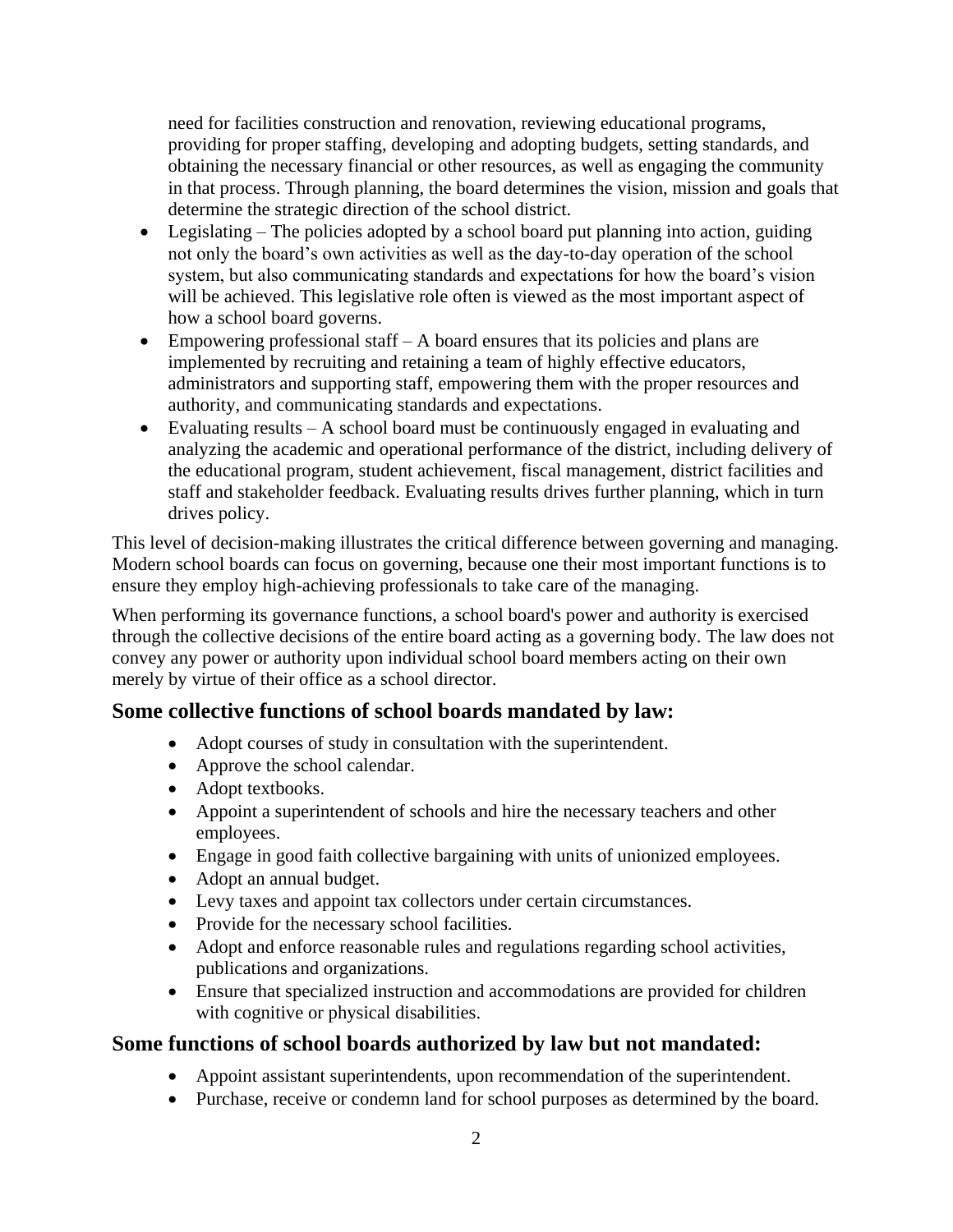need for facilities construction and renovation, reviewing educational programs, providing for proper staffing, developing and adopting budgets, setting standards, and obtaining the necessary financial or other resources, as well as engaging the community in that process. Through planning, the board determines the vision, mission and goals that determine the strategic direction of the school district.

- Legislating The policies adopted by a school board put planning into action, guiding not only the board's own activities as well as the day-to-day operation of the school system, but also communicating standards and expectations for how the board's vision will be achieved. This legislative role often is viewed as the most important aspect of how a school board governs.
- Empowering professional staff A board ensures that its policies and plans are implemented by recruiting and retaining a team of highly effective educators, administrators and supporting staff, empowering them with the proper resources and authority, and communicating standards and expectations.
- Evaluating results A school board must be continuously engaged in evaluating and analyzing the academic and operational performance of the district, including delivery of the educational program, student achievement, fiscal management, district facilities and staff and stakeholder feedback. Evaluating results drives further planning, which in turn drives policy.

This level of decision-making illustrates the critical difference between governing and managing. Modern school boards can focus on governing, because one their most important functions is to ensure they employ high-achieving professionals to take care of the managing.

When performing its governance functions, a school board's power and authority is exercised through the collective decisions of the entire board acting as a governing body. The law does not convey any power or authority upon individual school board members acting on their own merely by virtue of their office as a school director.

## **Some collective functions of school boards mandated by law:**

- Adopt courses of study in consultation with the superintendent.
- Approve the school calendar.
- Adopt textbooks.
- Appoint a superintendent of schools and hire the necessary teachers and other employees.
- Engage in good faith collective bargaining with units of unionized employees.
- Adopt an annual budget.
- Levy taxes and appoint tax collectors under certain circumstances.
- Provide for the necessary school facilities.
- Adopt and enforce reasonable rules and regulations regarding school activities, publications and organizations.
- Ensure that specialized instruction and accommodations are provided for children with cognitive or physical disabilities.

#### **Some functions of school boards authorized by law but not mandated:**

- Appoint assistant superintendents, upon recommendation of the superintendent.
- Purchase, receive or condemn land for school purposes as determined by the board.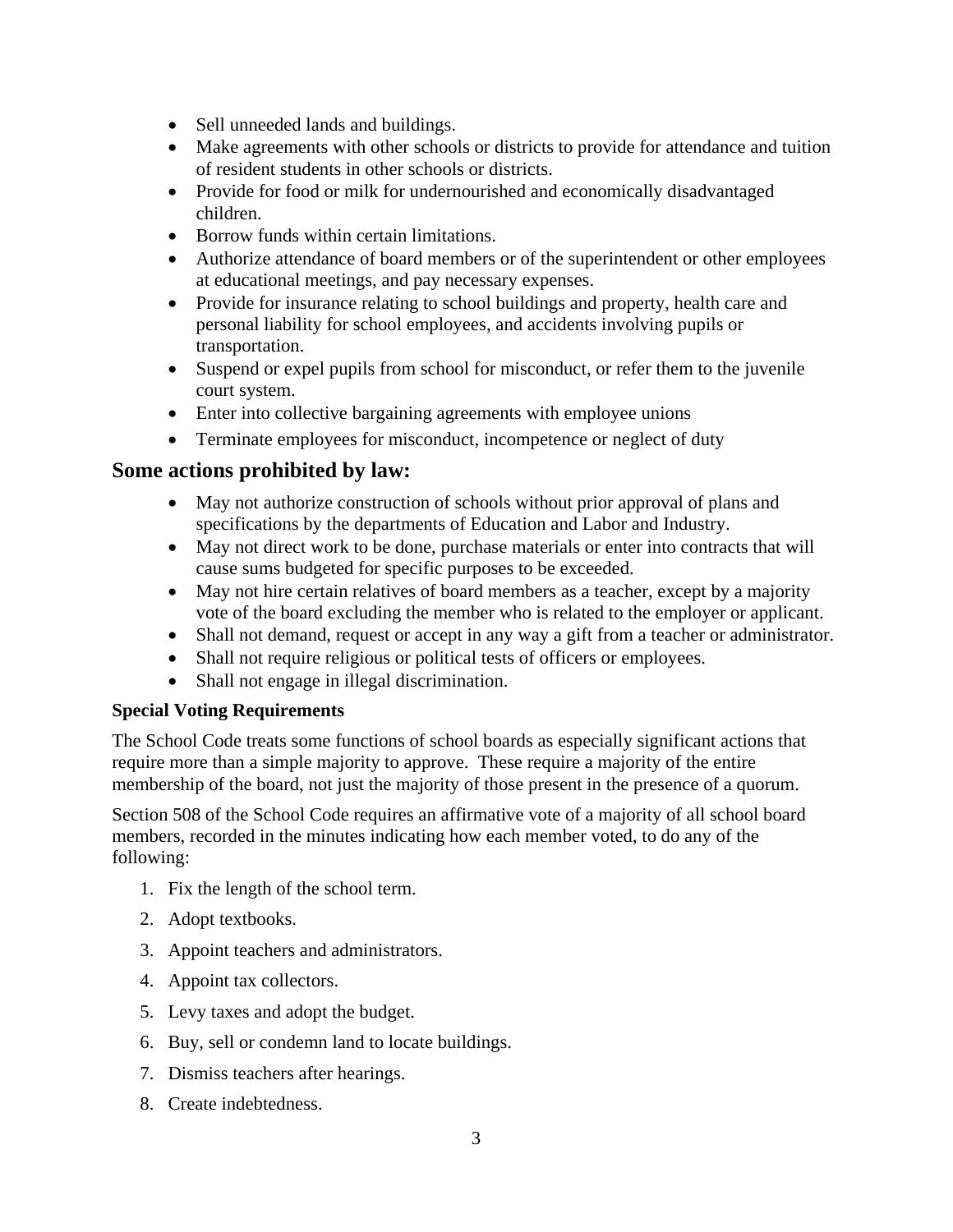- Sell unneeded lands and buildings.
- Make agreements with other schools or districts to provide for attendance and tuition of resident students in other schools or districts.
- Provide for food or milk for undernourished and economically disadvantaged children.
- Borrow funds within certain limitations.
- Authorize attendance of board members or of the superintendent or other employees at educational meetings, and pay necessary expenses.
- Provide for insurance relating to school buildings and property, health care and personal liability for school employees, and accidents involving pupils or transportation.
- Suspend or expel pupils from school for misconduct, or refer them to the juvenile court system.
- Enter into collective bargaining agreements with employee unions
- Terminate employees for misconduct, incompetence or neglect of duty

### **Some actions prohibited by law:**

- May not authorize construction of schools without prior approval of plans and specifications by the departments of Education and Labor and Industry.
- May not direct work to be done, purchase materials or enter into contracts that will cause sums budgeted for specific purposes to be exceeded.
- May not hire certain relatives of board members as a teacher, except by a majority vote of the board excluding the member who is related to the employer or applicant.
- Shall not demand, request or accept in any way a gift from a teacher or administrator.
- Shall not require religious or political tests of officers or employees.
- Shall not engage in illegal discrimination.

#### **Special Voting Requirements**

The School Code treats some functions of school boards as especially significant actions that require more than a simple majority to approve. These require a majority of the entire membership of the board, not just the majority of those present in the presence of a quorum.

Section 508 of the School Code requires an affirmative vote of a majority of all school board members, recorded in the minutes indicating how each member voted, to do any of the following:

- 1. Fix the length of the school term.
- 2. Adopt textbooks.
- 3. Appoint teachers and administrators.
- 4. Appoint tax collectors.
- 5. Levy taxes and adopt the budget.
- 6. Buy, sell or condemn land to locate buildings.
- 7. Dismiss teachers after hearings.
- 8. Create indebtedness.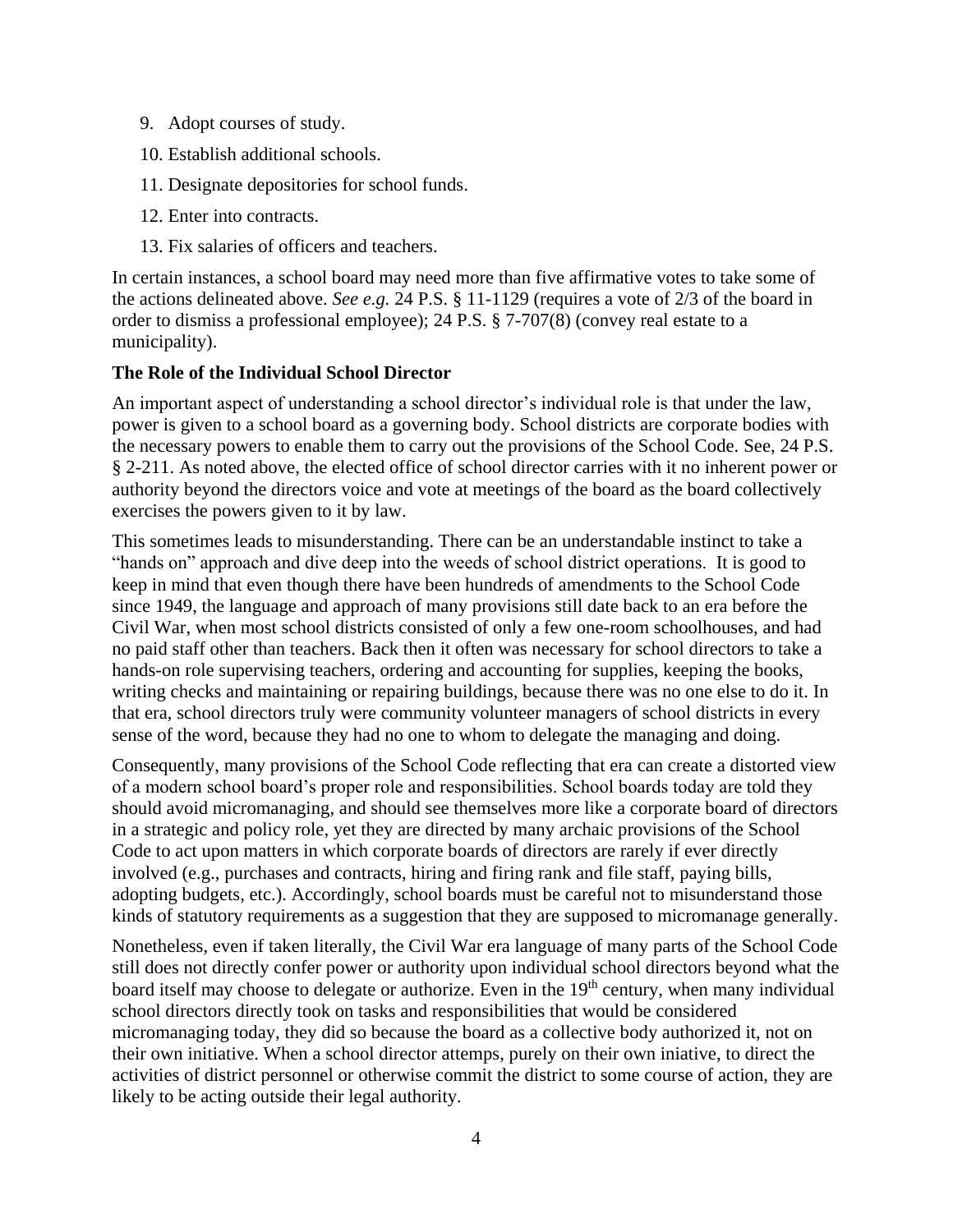- 9. Adopt courses of study.
- 10. Establish additional schools.
- 11. Designate depositories for school funds.
- 12. Enter into contracts.
- 13. Fix salaries of officers and teachers.

In certain instances, a school board may need more than five affirmative votes to take some of the actions delineated above. *See e.g.* 24 P.S. § 11-1129 (requires a vote of 2/3 of the board in order to dismiss a professional employee); 24 P.S. § 7-707(8) (convey real estate to a municipality).

#### **The Role of the Individual School Director**

An important aspect of understanding a school director's individual role is that under the law, power is given to a school board as a governing body. School districts are corporate bodies with the necessary powers to enable them to carry out the provisions of the School Code. See, 24 P.S. § 2-211. As noted above, the elected office of school director carries with it no inherent power or authority beyond the directors voice and vote at meetings of the board as the board collectively exercises the powers given to it by law.

This sometimes leads to misunderstanding. There can be an understandable instinct to take a "hands on" approach and dive deep into the weeds of school district operations. It is good to keep in mind that even though there have been hundreds of amendments to the School Code since 1949, the language and approach of many provisions still date back to an era before the Civil War, when most school districts consisted of only a few one-room schoolhouses, and had no paid staff other than teachers. Back then it often was necessary for school directors to take a hands-on role supervising teachers, ordering and accounting for supplies, keeping the books, writing checks and maintaining or repairing buildings, because there was no one else to do it. In that era, school directors truly were community volunteer managers of school districts in every sense of the word, because they had no one to whom to delegate the managing and doing.

Consequently, many provisions of the School Code reflecting that era can create a distorted view of a modern school board's proper role and responsibilities. School boards today are told they should avoid micromanaging, and should see themselves more like a corporate board of directors in a strategic and policy role, yet they are directed by many archaic provisions of the School Code to act upon matters in which corporate boards of directors are rarely if ever directly involved (e.g., purchases and contracts, hiring and firing rank and file staff, paying bills, adopting budgets, etc.). Accordingly, school boards must be careful not to misunderstand those kinds of statutory requirements as a suggestion that they are supposed to micromanage generally.

Nonetheless, even if taken literally, the Civil War era language of many parts of the School Code still does not directly confer power or authority upon individual school directors beyond what the board itself may choose to delegate or authorize. Even in the 19<sup>th</sup> century, when many individual school directors directly took on tasks and responsibilities that would be considered micromanaging today, they did so because the board as a collective body authorized it, not on their own initiative. When a school director attemps, purely on their own iniative, to direct the activities of district personnel or otherwise commit the district to some course of action, they are likely to be acting outside their legal authority.